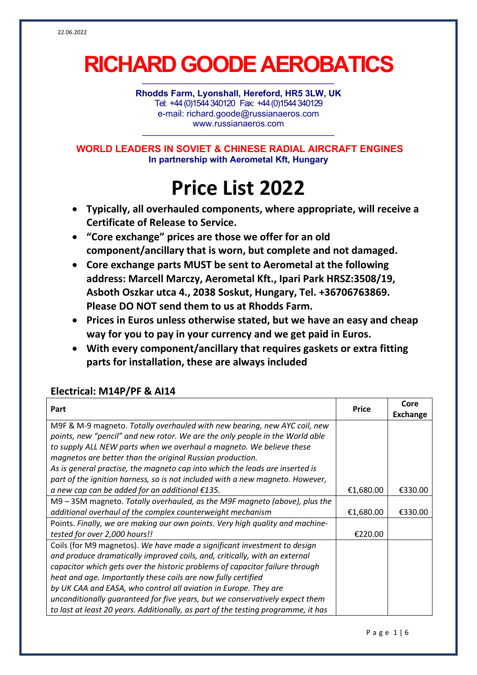# **RICHARD GOODE AEROBATICS**

**\_\_\_\_\_\_\_\_\_\_\_\_\_\_\_\_\_\_\_\_\_\_\_\_\_\_\_\_\_\_\_\_\_\_\_\_\_\_\_\_\_\_\_\_\_\_\_\_\_\_\_\_\_\_**

**Rhodds Farm, Lyonshall, Hereford, HR5 3LW, UK** Tel: +44 (0)1544 340120 Fax: +44(0)1544 340129 e-mail: richard.goode@russianaeros.com www.russianaeros.com

**\_\_\_\_\_\_\_\_\_\_\_\_\_\_\_\_\_\_\_\_\_\_\_\_\_\_\_\_\_\_\_\_\_\_\_\_\_\_\_\_\_\_\_\_\_\_\_\_\_\_\_\_\_\_**

**WORLD LEADERS IN SOVIET & CHINESE RADIAL AIRCRAFT ENGINES In partnership with Aerometal Kft, Hungary**

## **Price List 2022**

- **Typically, all overhauled components, where appropriate, will receive a Certificate of Release to Service.**
- **"Core exchange" prices are those we offer for an old component/ancillary that is worn, but complete and not damaged.**
- **Core exchange parts MUST be sent to Aerometal at the following address: Marcell Marczy, Aerometal Kft., Ipari Park HRSZ:3508/19, Asboth Oszkar utca 4., 2038 Soskut, Hungary, Tel. +36706763869. Please DO NOT send them to us at Rhodds Farm.**
- **Prices in Euros unless otherwise stated, but we have an easy and cheap way for you to pay in your currency and we get paid in Euros.**
- **With every component/ancillary that requires gaskets or extra fitting parts for installation, these are always included**

### **Electrical: M14P/PF & AI14**

|                                                                                   | <b>Price</b> | Core            |
|-----------------------------------------------------------------------------------|--------------|-----------------|
| Part                                                                              |              | <b>Exchange</b> |
| M9F & M-9 magneto. Totally overhauled with new bearing, new AYC coil, new         |              |                 |
| points, new "pencil" and new rotor. We are the only people in the World able      |              |                 |
| to supply ALL NEW parts when we overhaul a magneto. We believe these              |              |                 |
| magnetos are better than the original Russian production.                         |              |                 |
| As is general practise, the magneto cap into which the leads are inserted is      |              |                 |
| part of the ignition harness, so is not included with a new magneto. However,     |              |                 |
| a new cap can be added for an additional $£135.$                                  | €1,680.00    | €330.00         |
| M9 – 35M magneto. Totally overhauled, as the M9F magneto (above), plus the        |              |                 |
| additional overhaul of the complex counterweight mechanism                        | €1,680.00    | €330.00         |
| Points. Finally, we are making our own points. Very high quality and machine-     |              |                 |
| tested for over 2,000 hours!!                                                     | €220.00      |                 |
| Coils (for M9 magnetos). We have made a significant investment to design          |              |                 |
| and produce dramatically improved coils, and, critically, with an external        |              |                 |
| capacitor which gets over the historic problems of capacitor failure through      |              |                 |
| heat and age. Importantly these coils are now fully certified                     |              |                 |
| by UK CAA and EASA, who control all aviation in Europe. They are                  |              |                 |
| unconditionally guaranteed for five years, but we conservatively expect them      |              |                 |
| to last at least 20 years. Additionally, as part of the testing programme, it has |              |                 |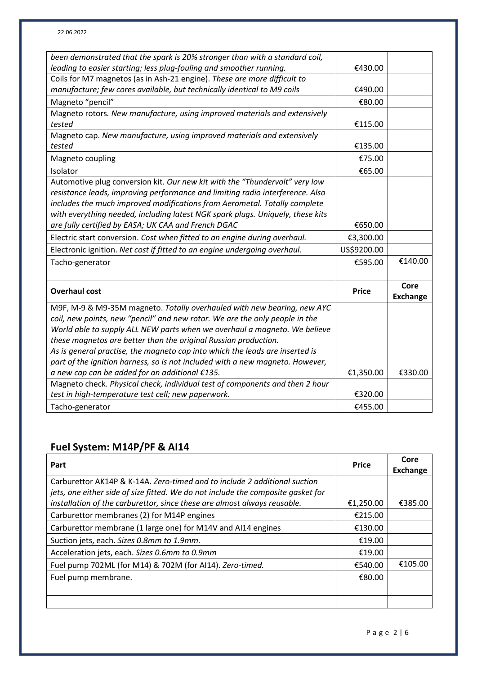| been demonstrated that the spark is 20% stronger than with a standard coil,    |              |                 |
|--------------------------------------------------------------------------------|--------------|-----------------|
| leading to easier starting; less plug-fouling and smoother running.            | €430.00      |                 |
| Coils for M7 magnetos (as in Ash-21 engine). These are more difficult to       |              |                 |
| manufacture; few cores available, but technically identical to M9 coils        | €490.00      |                 |
| Magneto "pencil"                                                               | €80.00       |                 |
| Magneto rotors. New manufacture, using improved materials and extensively      |              |                 |
| tested                                                                         | €115.00      |                 |
| Magneto cap. New manufacture, using improved materials and extensively         |              |                 |
| tested                                                                         | €135.00      |                 |
| Magneto coupling                                                               | €75.00       |                 |
| Isolator                                                                       | €65.00       |                 |
| Automotive plug conversion kit. Our new kit with the "Thundervolt" very low    |              |                 |
| resistance leads, improving performance and limiting radio interference. Also  |              |                 |
| includes the much improved modifications from Aerometal. Totally complete      |              |                 |
| with everything needed, including latest NGK spark plugs. Uniquely, these kits |              |                 |
| are fully certified by EASA; UK CAA and French DGAC                            | €650.00      |                 |
| Electric start conversion. Cost when fitted to an engine during overhaul.      | €3,300.00    |                 |
| Electronic ignition. Net cost if fitted to an engine undergoing overhaul.      | US\$9200.00  |                 |
| Tacho-generator                                                                | €595.00      | €140.00         |
|                                                                                |              |                 |
| <b>Overhaul cost</b>                                                           | <b>Price</b> | Core            |
|                                                                                |              | <b>Exchange</b> |
| M9F, M-9 & M9-35M magneto. Totally overhauled with new bearing, new AYC        |              |                 |
| coil, new points, new "pencil" and new rotor. We are the only people in the    |              |                 |
| World able to supply ALL NEW parts when we overhaul a magneto. We believe      |              |                 |
| these magnetos are better than the original Russian production.                |              |                 |
| As is general practise, the magneto cap into which the leads are inserted is   |              |                 |
| part of the ignition harness, so is not included with a new magneto. However,  |              |                 |
| a new cap can be added for an additional €135.                                 | €1,350.00    | €330.00         |
| Magneto check. Physical check, individual test of components and then 2 hour   |              |                 |
| test in high-temperature test cell; new paperwork.                             | €320.00      |                 |
| Tacho-generator                                                                | €455.00      |                 |

## **Fuel System: M14P/PF & AI14**

| Part                                                                                                                                                          | <b>Price</b> | Core<br><b>Exchange</b> |
|---------------------------------------------------------------------------------------------------------------------------------------------------------------|--------------|-------------------------|
| Carburettor AK14P & K-14A. Zero-timed and to include 2 additional suction<br>jets, one either side of size fitted. We do not include the composite gasket for |              |                         |
| installation of the carburettor, since these are almost always reusable.                                                                                      | €1,250.00    | €385.00                 |
| Carburettor membranes (2) for M14P engines                                                                                                                    | €215.00      |                         |
| Carburettor membrane (1 large one) for M14V and AI14 engines                                                                                                  | €130.00      |                         |
| Suction jets, each. Sizes 0.8mm to 1.9mm.                                                                                                                     | €19.00       |                         |
| Acceleration jets, each. Sizes 0.6mm to 0.9mm                                                                                                                 | €19.00       |                         |
| Fuel pump 702ML (for M14) & 702M (for AI14). Zero-timed.                                                                                                      | €540.00      | €105.00                 |
| Fuel pump membrane.                                                                                                                                           | €80.00       |                         |
|                                                                                                                                                               |              |                         |
|                                                                                                                                                               |              |                         |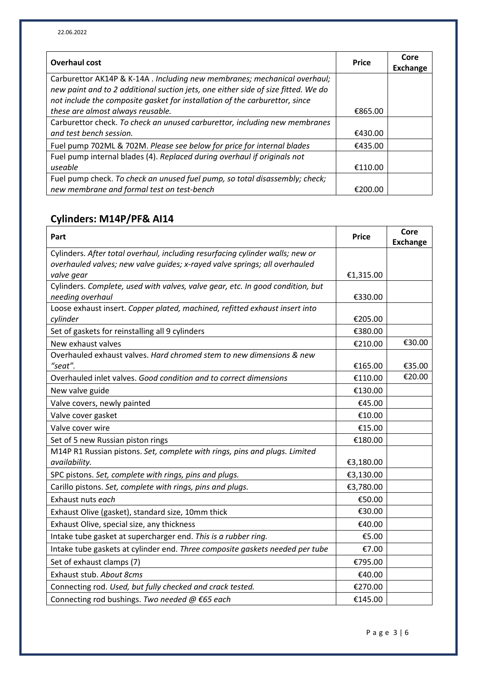| <b>Overhaul cost</b>                                                              | <b>Price</b> | Core<br><b>Exchange</b> |
|-----------------------------------------------------------------------------------|--------------|-------------------------|
| Carburettor AK14P & K-14A . Including new membranes; mechanical overhaul;         |              |                         |
| new paint and to 2 additional suction jets, one either side of size fitted. We do |              |                         |
| not include the composite gasket for installation of the carburettor, since       |              |                         |
| these are almost always reusable.                                                 | €865.00      |                         |
| Carburettor check. To check an unused carburettor, including new membranes        |              |                         |
| and test bench session.                                                           | €430.00      |                         |
| Fuel pump 702ML & 702M. Please see below for price for internal blades            | €435.00      |                         |
| Fuel pump internal blades (4). Replaced during overhaul if originals not          |              |                         |
| useable                                                                           | €110.00      |                         |
| Fuel pump check. To check an unused fuel pump, so total disassembly; check;       |              |                         |
| new membrane and formal test on test-bench                                        | €200.00      |                         |

## **Cylinders: M14P/PF& AI14**

| Part                                                                           | <b>Price</b> | Core<br><b>Exchange</b> |
|--------------------------------------------------------------------------------|--------------|-------------------------|
| Cylinders. After total overhaul, including resurfacing cylinder walls; new or  |              |                         |
| overhauled valves; new valve guides; x-rayed valve springs; all overhauled     |              |                         |
| valve gear                                                                     | €1,315.00    |                         |
| Cylinders. Complete, used with valves, valve gear, etc. In good condition, but |              |                         |
| needing overhaul                                                               | €330.00      |                         |
| Loose exhaust insert. Copper plated, machined, refitted exhaust insert into    |              |                         |
| cylinder                                                                       | €205.00      |                         |
| Set of gaskets for reinstalling all 9 cylinders                                | €380.00      |                         |
| New exhaust valves                                                             | €210.00      | €30.00                  |
| Overhauled exhaust valves. Hard chromed stem to new dimensions & new           |              |                         |
| "seat".                                                                        | €165.00      | €35.00                  |
| Overhauled inlet valves. Good condition and to correct dimensions              | €110.00      | €20.00                  |
| New valve guide                                                                | €130.00      |                         |
| Valve covers, newly painted                                                    | €45.00       |                         |
| Valve cover gasket                                                             | €10.00       |                         |
| Valve cover wire                                                               | €15.00       |                         |
| Set of 5 new Russian piston rings                                              | €180.00      |                         |
| M14P R1 Russian pistons. Set, complete with rings, pins and plugs. Limited     |              |                         |
| availability.                                                                  | €3,180.00    |                         |
| SPC pistons. Set, complete with rings, pins and plugs.                         | €3,130.00    |                         |
| Carillo pistons. Set, complete with rings, pins and plugs.                     | €3,780.00    |                         |
| Exhaust nuts each                                                              | €50.00       |                         |
| Exhaust Olive (gasket), standard size, 10mm thick                              | €30.00       |                         |
| Exhaust Olive, special size, any thickness                                     | €40.00       |                         |
| Intake tube gasket at supercharger end. This is a rubber ring.                 | €5.00        |                         |
| Intake tube gaskets at cylinder end. Three composite gaskets needed per tube   | €7.00        |                         |
| Set of exhaust clamps (7)                                                      | €795.00      |                         |
| Exhaust stub. About 8cms                                                       | €40.00       |                         |
| Connecting rod. Used, but fully checked and crack tested.                      | €270.00      |                         |
| Connecting rod bushings. Two needed @ €65 each                                 | €145.00      |                         |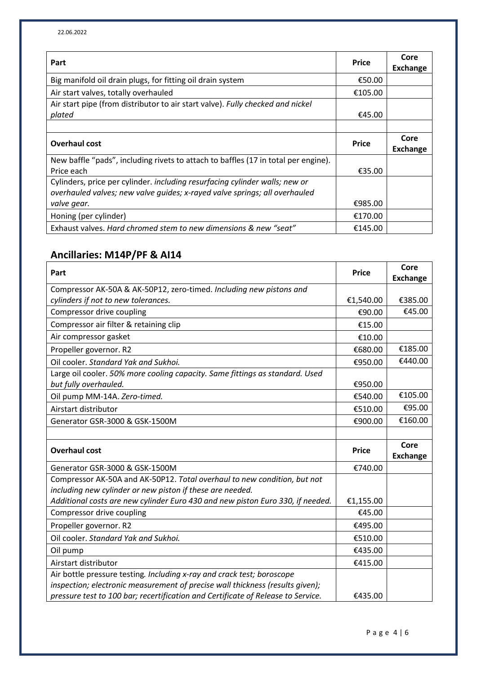| Part                                                                               | <b>Price</b> | Core<br><b>Exchange</b> |
|------------------------------------------------------------------------------------|--------------|-------------------------|
| Big manifold oil drain plugs, for fitting oil drain system                         | €50.00       |                         |
| Air start valves, totally overhauled                                               | €105.00      |                         |
| Air start pipe (from distributor to air start valve). Fully checked and nickel     |              |                         |
| plated                                                                             | €45.00       |                         |
|                                                                                    |              |                         |
| Overhaul cost                                                                      | <b>Price</b> | Core<br><b>Exchange</b> |
| New baffle "pads", including rivets to attach to baffles (17 in total per engine). |              |                         |
| Price each                                                                         | €35.00       |                         |
| Cylinders, price per cylinder. including resurfacing cylinder walls; new or        |              |                         |
| overhauled valves; new valve quides; x-rayed valve springs; all overhauled         |              |                         |
| valve gear.                                                                        | €985.00      |                         |
| Honing (per cylinder)                                                              | €170.00      |                         |
| Exhaust valves. Hard chromed stem to new dimensions & new "seat"                   | €145.00      |                         |

### **Ancillaries: M14P/PF & AI14**

| Part                                                                                                                                                                                                                                        | <b>Price</b> | Core<br><b>Exchange</b> |
|---------------------------------------------------------------------------------------------------------------------------------------------------------------------------------------------------------------------------------------------|--------------|-------------------------|
| Compressor AK-50A & AK-50P12, zero-timed. Including new pistons and                                                                                                                                                                         |              |                         |
| cylinders if not to new tolerances.                                                                                                                                                                                                         | €1,540.00    | €385.00                 |
| Compressor drive coupling                                                                                                                                                                                                                   | €90.00       | €45.00                  |
| Compressor air filter & retaining clip                                                                                                                                                                                                      | €15.00       |                         |
| Air compressor gasket                                                                                                                                                                                                                       | €10.00       |                         |
| Propeller governor. R2                                                                                                                                                                                                                      | €680.00      | €185.00                 |
| Oil cooler, Standard Yak and Sukhoi.                                                                                                                                                                                                        | €950.00      | €440.00                 |
| Large oil cooler. 50% more cooling capacity. Same fittings as standard. Used                                                                                                                                                                |              |                         |
| but fully overhauled.                                                                                                                                                                                                                       | €950.00      |                         |
| Oil pump MM-14A. Zero-timed.                                                                                                                                                                                                                | €540.00      | €105.00                 |
| Airstart distributor                                                                                                                                                                                                                        | €510.00      | €95.00                  |
| Generator GSR-3000 & GSK-1500M                                                                                                                                                                                                              | €900.00      | €160.00                 |
|                                                                                                                                                                                                                                             |              |                         |
| <b>Overhaul cost</b>                                                                                                                                                                                                                        | <b>Price</b> | Core<br><b>Exchange</b> |
| Generator GSR-3000 & GSK-1500M                                                                                                                                                                                                              | €740.00      |                         |
| Compressor AK-50A and AK-50P12. Total overhaul to new condition, but not                                                                                                                                                                    |              |                         |
| including new cylinder or new piston if these are needed.                                                                                                                                                                                   |              |                         |
| Additional costs are new cylinder Euro 430 and new piston Euro 330, if needed.                                                                                                                                                              | €1,155.00    |                         |
| Compressor drive coupling                                                                                                                                                                                                                   | €45.00       |                         |
| Propeller governor. R2                                                                                                                                                                                                                      | €495.00      |                         |
| Oil cooler. Standard Yak and Sukhoi.                                                                                                                                                                                                        | €510.00      |                         |
| Oil pump                                                                                                                                                                                                                                    | €435.00      |                         |
| Airstart distributor                                                                                                                                                                                                                        | €415.00      |                         |
| Air bottle pressure testing. Including x-ray and crack test; boroscope<br>inspection; electronic measurement of precise wall thickness (results given);<br>pressure test to 100 bar; recertification and Certificate of Release to Service. | €435.00      |                         |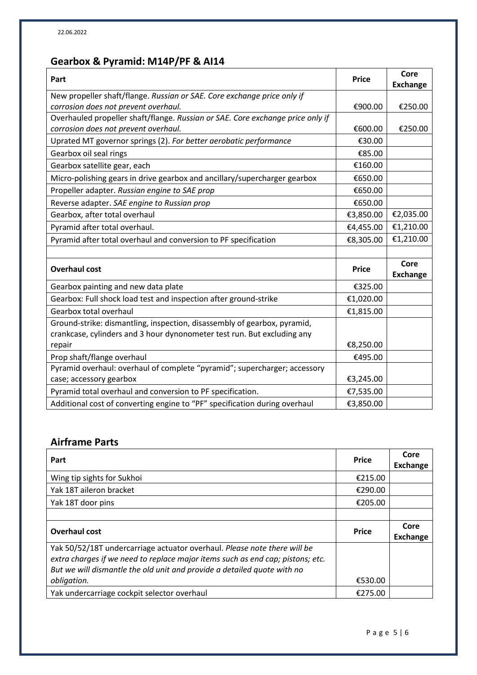## **Gearbox & Pyramid: M14P/PF & AI14**

| Part                                                                           | <b>Price</b> | Core<br><b>Exchange</b> |
|--------------------------------------------------------------------------------|--------------|-------------------------|
| New propeller shaft/flange. Russian or SAE. Core exchange price only if        |              |                         |
| corrosion does not prevent overhaul.                                           | €900.00      | €250.00                 |
| Overhauled propeller shaft/flange. Russian or SAE. Core exchange price only if |              |                         |
| corrosion does not prevent overhaul.                                           | €600.00      | €250.00                 |
| Uprated MT governor springs (2). For better aerobatic performance              | €30.00       |                         |
| Gearbox oil seal rings                                                         | €85.00       |                         |
| Gearbox satellite gear, each                                                   | €160.00      |                         |
| Micro-polishing gears in drive gearbox and ancillary/supercharger gearbox      | €650.00      |                         |
| Propeller adapter. Russian engine to SAE prop                                  | €650.00      |                         |
| Reverse adapter. SAE engine to Russian prop                                    | €650.00      |                         |
| Gearbox, after total overhaul                                                  | €3,850.00    | €2,035.00               |
| Pyramid after total overhaul.                                                  | €4,455.00    | €1,210.00               |
| Pyramid after total overhaul and conversion to PF specification                | €8,305.00    | €1,210.00               |
|                                                                                |              |                         |
| <b>Overhaul cost</b>                                                           | <b>Price</b> | Core<br><b>Exchange</b> |
| Gearbox painting and new data plate                                            | €325.00      |                         |
| Gearbox: Full shock load test and inspection after ground-strike               | €1,020.00    |                         |
| Gearbox total overhaul                                                         | €1,815.00    |                         |
| Ground-strike: dismantling, inspection, disassembly of gearbox, pyramid,       |              |                         |
| crankcase, cylinders and 3 hour dynonometer test run. But excluding any        |              |                         |
| repair                                                                         | €8,250.00    |                         |
| Prop shaft/flange overhaul                                                     | €495.00      |                         |
| Pyramid overhaul: overhaul of complete "pyramid"; supercharger; accessory      |              |                         |
| case; accessory gearbox                                                        | €3,245.00    |                         |
| Pyramid total overhaul and conversion to PF specification.                     | €7,535.00    |                         |
| Additional cost of converting engine to "PF" specification during overhaul     | €3,850.00    |                         |

#### **Airframe Parts**

| Part                                                                                                                                                                                                                                  | <b>Price</b> | Core<br>Exchange        |
|---------------------------------------------------------------------------------------------------------------------------------------------------------------------------------------------------------------------------------------|--------------|-------------------------|
| Wing tip sights for Sukhoi                                                                                                                                                                                                            | €215.00      |                         |
| Yak 18T aileron bracket                                                                                                                                                                                                               | €290.00      |                         |
| Yak 18T door pins                                                                                                                                                                                                                     | €205.00      |                         |
|                                                                                                                                                                                                                                       |              |                         |
| <b>Overhaul cost</b>                                                                                                                                                                                                                  | <b>Price</b> | Core<br><b>Exchange</b> |
| Yak 50/52/18T undercarriage actuator overhaul. Please note there will be<br>extra charges if we need to replace major items such as end cap; pistons; etc.<br>But we will dismantle the old unit and provide a detailed quote with no |              |                         |
| obligation.                                                                                                                                                                                                                           | €530.00      |                         |
| Yak undercarriage cockpit selector overhaul                                                                                                                                                                                           | €275.00      |                         |